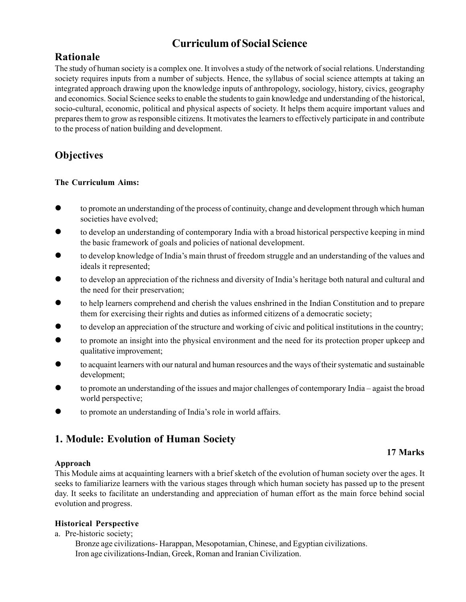# **Curriculum of Social Science**

# **Rationale**

The study of human society is a complex one. It involves a study of the network of social relations. Understanding society requires inputs from a number of subjects. Hence, the syllabus of social science attempts at taking an integrated approach drawing upon the knowledge inputs of anthropology, sociology, history, civics, geography and economics. Social Science seeks to enable the students to gain knowledge and understanding of the historical, socio-cultural, economic, political and physical aspects of society. It helps them acquire important values and prepares them to grow as responsible citizens. It motivates the learners to effectively participate in and contribute to the process of nation building and development.

# **Objectives**

### **The Curriculum Aims:**

- $\bullet$  to promote an understanding of the process of continuity, change and development through which human societies have evolved;
- z to develop an understanding of contemporary India with a broad historical perspective keeping in mind the basic framework of goals and policies of national development.
- to develop knowledge of India's main thrust of freedom struggle and an understanding of the values and ideals it represented;
- to develop an appreciation of the richness and diversity of India's heritage both natural and cultural and the need for their preservation;
- to help learners comprehend and cherish the values enshrined in the Indian Constitution and to prepare them for exercising their rights and duties as informed citizens of a democratic society;
- z to develop an appreciation of the structure and working of civic and political institutions in the country;
- to promote an insight into the physical environment and the need for its protection proper upkeep and qualitative improvement;
- to acquaint learners with our natural and human resources and the ways of their systematic and sustainable development;
- to promote an understanding of the issues and major challenges of contemporary India agaist the broad world perspective;
- to promote an understanding of India's role in world affairs.

# **1. Module: Evolution of Human Society**

### **Approach**

This Module aims at acquainting learners with a brief sketch of the evolution of human society over the ages. It seeks to familiarize learners with the various stages through which human society has passed up to the present day. It seeks to facilitate an understanding and appreciation of human effort as the main force behind social evolution and progress.

#### **Historical Perspective**

a. Pre-historic society;

Bronze age civilizations- Harappan, Mesopotamian, Chinese, and Egyptian civilizations. Iron age civilizations-Indian, Greek, Roman and Iranian Civilization.

### **17 Marks**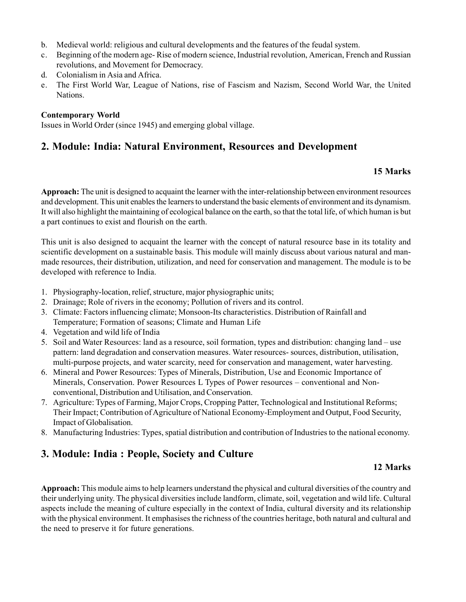- b. Medieval world: religious and cultural developments and the features of the feudal system.
- c. Beginning of the modern age- Rise of modern science, Industrial revolution, American, French and Russian revolutions, and Movement for Democracy.
- d. Colonialism in Asia and Africa.
- e. The First World War, League of Nations, rise of Fascism and Nazism, Second World War, the United Nations.

#### **Contemporary World**

Issues in World Order (since 1945) and emerging global village.

### **2. Module: India: Natural Environment, Resources and Development**

### **15 Marks**

**Approach:** The unit is designed to acquaint the learner with the inter-relationship between environment resources and development. This unit enables the learners to understand the basic elements of environment and its dynamism. It will also highlight the maintaining of ecological balance on the earth, so that the total life, of which human is but a part continues to exist and flourish on the earth.

This unit is also designed to acquaint the learner with the concept of natural resource base in its totality and scientific development on a sustainable basis. This module will mainly discuss about various natural and manmade resources, their distribution, utilization, and need for conservation and management. The module is to be developed with reference to India.

- 1. Physiography-location, relief, structure, major physiographic units;
- 2. Drainage; Role of rivers in the economy; Pollution of rivers and its control.
- 3. Climate: Factors influencing climate; Monsoon-Its characteristics. Distribution of Rainfall and Temperature; Formation of seasons; Climate and Human Life
- 4. Vegetation and wild life of India
- 5. Soil and Water Resources: land as a resource, soil formation, types and distribution: changing land use pattern: land degradation and conservation measures. Water resources- sources, distribution, utilisation, multi-purpose projects, and water scarcity, need for conservation and management, water harvesting.
- 6. Mineral and Power Resources: Types of Minerals, Distribution, Use and Economic Importance of Minerals, Conservation. Power Resources L Types of Power resources – conventional and Nonconventional, Distribution and Utilisation, and Conservation.
- 7. Agriculture: Types of Farming, Major Crops, Cropping Patter, Technological and Institutional Reforms; Their Impact; Contribution of Agriculture of National Economy-Employment and Output, Food Security, Impact of Globalisation.
- 8. Manufacturing Industries: Types, spatial distribution and contribution of Industries to the national economy.

### **3. Module: India : People, Society and Culture**

### **12 Marks**

**Approach:** This module aims to help learners understand the physical and cultural diversities of the country and their underlying unity. The physical diversities include landform, climate, soil, vegetation and wild life. Cultural aspects include the meaning of culture especially in the context of India, cultural diversity and its relationship with the physical environment. It emphasises the richness of the countries heritage, both natural and cultural and the need to preserve it for future generations.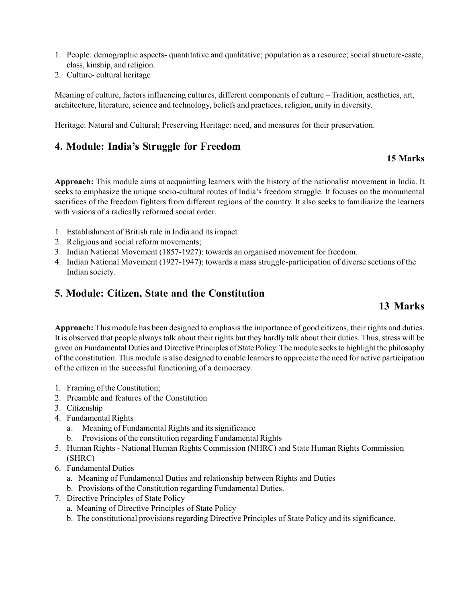- 1. People: demographic aspects- quantitative and qualitative; population as a resource; social structure-caste, class, kinship, and religion.
- 2. Culture- cultural heritage

Meaning of culture, factors influencing cultures, different components of culture – Tradition, aesthetics, art, architecture, literature, science and technology, beliefs and practices, religion, unity in diversity.

Heritage: Natural and Cultural; Preserving Heritage: need, and measures for their preservation.

### **4. Module: India's Struggle for Freedom**

### **15 Marks**

**Approach:** This module aims at acquainting learners with the history of the nationalist movement in India. It seeks to emphasize the unique socio-cultural routes of India's freedom struggle. It focuses on the monumental sacrifices of the freedom fighters from different regions of the country. It also seeks to familiarize the learners with visions of a radically reformed social order.

- 1. Establishment of British rule in India and its impact
- 2. Religious and social reform movements;
- 3. Indian National Movement (1857-1927): towards an organised movement for freedom.
- 4. Indian National Movement (1927-1947): towards a mass struggle-participation of diverse sections of the Indian society.

### **5. Module: Citizen, State and the Constitution**

# **13 Marks**

**Approach:** This module has been designed to emphasis the importance of good citizens, their rights and duties. It is observed that people always talk about their rights but they hardly talk about their duties. Thus, stress will be given on Fundamental Duties and Directive Principles of State Policy. The module seeks to highlight the philosophy of the constitution. This module is also designed to enable learners to appreciate the need for active participation of the citizen in the successful functioning of a democracy.

- 1. Framing of the Constitution;
- 2. Preamble and features of the Constitution
- 3. Citizenship
- 4. Fundamental Rights
	- a. Meaning of Fundamental Rights and its significance
	- b. Provisions of the constitution regarding Fundamental Rights
- 5. Human Rights National Human Rights Commission (NHRC) and State Human Rights Commission (SHRC)
- 6. Fundamental Duties
	- a. Meaning of Fundamental Duties and relationship between Rights and Duties
	- b. Provisions of the Constitution regarding Fundamental Duties.
- 7. Directive Principles of State Policy
	- a. Meaning of Directive Principles of State Policy
	- b. The constitutional provisions regarding Directive Principles of State Policy and its significance.